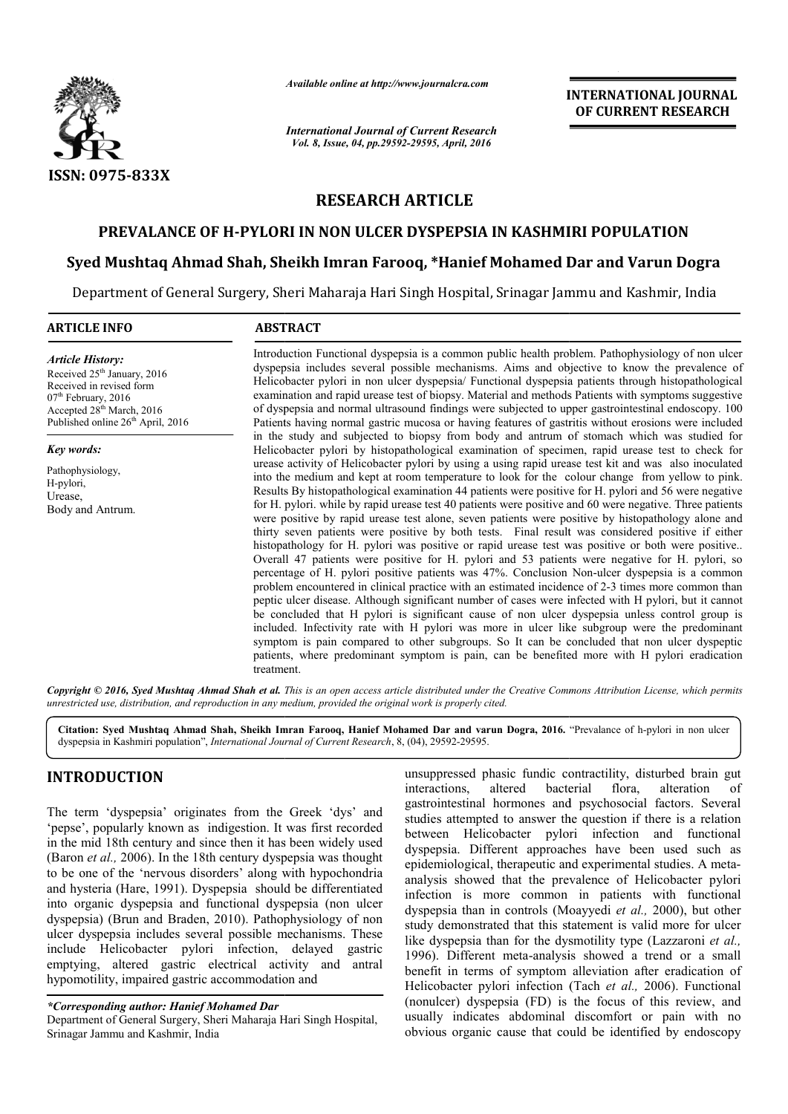

*Available online at http://www.journalcra.com*

*International Journal of Current Research Vol. 8, Issue, 04, pp.29592-29595, April, 2016*

**INTERNATIONAL JOURNAL OF CURRENT RESEARCH** 

# **RESEARCH ARTICLE**

# PREVALANCE OF H-PYLORI IN NON ULCER DYSPEPSIA IN KASHMIRI POPULATION

# **Syed Mushtaq Ahmad Shah, Sheikh Imran Farooq, \*Hanief Mohamed Dar and DYSPEPSIA IN KASHMIRI POPULATIONSyed Varun Dogra**

Department of General Surgery, Sheri Maharaja Hari Singh Hospital, Srinagar Jammu and Kashmir, India

#### **ARTICLE INFO ABSTRACT**  $\overline{a}$

*Article History:* Received 25<sup>th</sup> January, 2016 Received in revised form 07<sup>th</sup> February, 2016 Accepted 28th March, 2016 Published online 26<sup>th</sup> April, 2016

*Key words:*

Pathophysiology, H-pylori, Urease, Body and Antrum. Introduction Functional dyspepsia is a common public health problem. Pathophysiology of non ulcer dyspepsia includes several possible mechanisms. Aims and objective to know the prevalence of Introduction Functional dyspepsia is a common public health problem. Pathophysiology of non ulcer dyspepsia per<br>dyspepsia includes several possible mechanisms. Aims and objective to know the prevalence of<br>Helicobacter pylo examination and rapid urease test of biopsy. Material and methods Patients with symptoms suggestive of dyspepsia and normal ultrasound findings were subjected to upper gastrointestinal endoscopy. 100 Patients having normal gastric mucosa or having features of gastritis without erosions were included in the study and subjected to biopsy from body and antrum of stomach which was studied for Helicobacter pylori by histopathological examination of specimen, rapid urease test to check for urease activity of Helicobacter pylori by using a using rapid urease test kit and was also inoculated into the medium and kept at room temperature to look for the colour change from yellow to pink. Results By histopathological examination 44 patients were positive for H. pylori and 56 were negative for H. pylori. while by rapid urease test 40 patients were positive and 60 were negative. Three patients were positive by rapid urease test alone, seven patients were positive by histopathology alone and thirty seven patients were positive by both tests. Final result was considered positive if either histopathology for H. pylori was positive or rapid urease test was positive or both were positive.. Overall 47 patients were positive for H. pylori and 53 patients were negative for H. pylori, so thirty seven patients were positive by both tests. Final result was considered positive if either histopathology for H. pylori was positive or rapid urease test was positive or both were positive. Overall 47 patients were problem encountered in clinical practice with an estimated incidence of 2-3 times more common than peptic ulcer dise disease. Although significant number of cases were infected with H pylori, but it cannot be concluded that H pylori is significant cause of non ulcer dyspepsia unless control group is included. Infectivity rate with H pylori was more in ulcer like subgroup wer symptom is pain compared to other subgroups. So It can be concluded that non ulcer dyspeptic symptom is pain compared to other subgroups. So It can be concluded that non ulcer dyspeptic patients, where predominant symptom is pain, can be benefited more with H pylori eradication treatment. examination and rapid urease test of biopsy. Material and methods Patients with symptoms suggestive of dyspepsia and normal ultrasound findings were subjected to upper gastrointestinal endoscopy. 100 Patients having normal urease activity of Helicobacter pylori by using a using rapid urease test kit and was also inoculated<br>into the medium and kept at room temperature to look for the colour change from yellow to pink.<br>Results By histopatholog peptic ulcer disease. Although significant number of cases were infected with H pylori, but it cannot<br>be concluded that H pylori is significant cause of non ulcer dyspepsia unless control group is<br>included. Infectivity rat **INTERNATIONAL JOURNAL OF CURRENT RESEARCH**<br> **OF CURRENT RESEARCH**<br> **OF CURRENT RESEARCH**<br> **OF CURRENT RESEARCH**<br> **STAMIRI POPULATION**<br> **ORD**<br> **OF ACTION**<br> **OF ACTION**<br> **OF ACTION**<br> **OF ACTION**<br> **OF ACTION**<br> **OF ACTION**<br>

Copyright © 2016, Syed Mushtaq Ahmad Shah et al. This is an open access article distributed under the Creative Commons Attribution License, which permits *unrestricted use, distribution, and reproduction in any medium, provided the original work is properly cited.*

**Citation: Syed Mushtaq Ahmad Shah, Sheikh Imran Farooq, Hanief Mohamed Dar and varun Dogra Dogra, 2016.** "Prevalance of h-pylori in non ulcer dyspepsia in Kashmiri population", *International Journal of Current Research* , 8, (04), 29592-29595.

# **INTRODUCTION**

The term 'dyspepsia' originates from the Greek 'dys' and 'pepse', popularly known as indigestion. It was first recorded in the mid 18th century and since then it has been widely used (Baron *et al.,* 2006). In the 18th century dyspepsia was thought to be one of the 'nervous disorders' along with hypochondria and hysteria (Hare, 1991). Dyspepsia should be differentiated into organic dyspepsia and functional dyspepsia (non ulcer dyspepsia) (Brun and Braden, 2010). Pathophysiology of non ulcer dyspepsia includes several possible mechanisms. These include Helicobacter pylori infection, delayed gastric emptying, altered gastric electrical activity and antral hypomotility, impaired gastric accommodation and

*\*Corresponding author: Hanief Mohamed Dar* 

unsuppressed phasic fundic contractility, disturbed brain gut interactions, altered bacterial flora, alteration of interactions, altered bacterial flora, alteration of gastrointestinal hormones and psychosocial factors. Several studies attempted to answer the question if there is a relation between Helicobacter pylori infection and functional dyspepsia. Different approaches have been used such as epidemiological, therapeutic and experimental studies. A meta analysis showed that the prevalence of Helicobacter pylori infection is more common in patients with functional analysis showed that the prevalence of Helicobacter pylori<br>infection is more common in patients with functional<br>dyspepsia than in controls (Moayyedi *et al.*, 2000), but other study demonstrated that this statement is valid more for ulcer study demonstrated that this statement is valid more for ulcer<br>like dyspepsia than for the dysmotility type (Lazzaroni *et al.*, 1996). Different meta-analysis showed a trend or a small benefit in terms of symptom alleviation after eradication of Helicobacter pylori infection (Tach et al., 2006). Functional (nonulcer) dyspepsia (FD) is the focus of this review, and usually indicates abdominal discomfort or pain with no obvious organic cause that could be identified by endoscopy attempted to answer the question if there is a relation<br>in Helicobacter pylori infection and functional<br>ia. Different approaches have been used such as<br>ological, therapeutic and experimental studies. A meta-Ferent meta-analysis showed a trend or a small<br>terms of symptom alleviation after eradication of<br>er pylori infection (Tach *et al.*, 2006). Functional

Department of General Surgery, Sheri Maharaja Hari Singh Hospital, Srinagar Jammu and Kashmir, India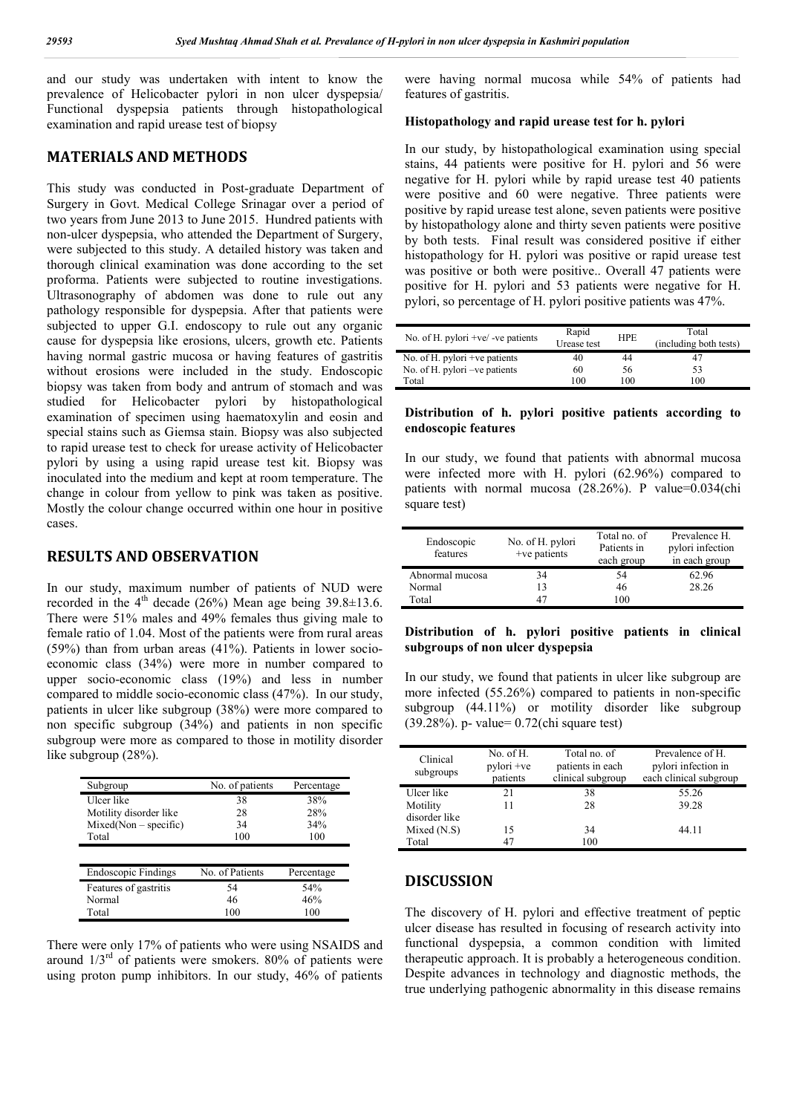and our study was undertaken with intent to know the prevalence of Helicobacter pylori in non ulcer dyspepsia/ Functional dyspepsia patients through histopathological examination and rapid urease test of biopsy

## **MATERIALS AND METHODS**

This study was conducted in Post-graduate Department of Surgery in Govt. Medical College Srinagar over a period of two years from June 2013 to June 2015. Hundred patients with non-ulcer dyspepsia, who attended the Department of Surgery, were subjected to this study. A detailed history was taken and thorough clinical examination was done according to the set proforma. Patients were subjected to routine investigations. Ultrasonography of abdomen was done to rule out any pathology responsible for dyspepsia. After that patients were subjected to upper G.I. endoscopy to rule out any organic cause for dyspepsia like erosions, ulcers, growth etc. Patients having normal gastric mucosa or having features of gastritis without erosions were included in the study. Endoscopic biopsy was taken from body and antrum of stomach and was studied for Helicobacter pylori by histopathological examination of specimen using haematoxylin and eosin and special stains such as Giemsa stain. Biopsy was also subjected to rapid urease test to check for urease activity of Helicobacter pylori by using a using rapid urease test kit. Biopsy was inoculated into the medium and kept at room temperature. The change in colour from yellow to pink was taken as positive. Mostly the colour change occurred within one hour in positive cases.

# **RESULTS AND OBSERVATION**

In our study, maximum number of patients of NUD were recorded in the  $4<sup>th</sup>$  decade (26%) Mean age being 39.8 $\pm$ 13.6. There were 51% males and 49% females thus giving male to female ratio of 1.04. Most of the patients were from rural areas (59%) than from urban areas (41%). Patients in lower socioeconomic class (34%) were more in number compared to upper socio-economic class (19%) and less in number compared to middle socio-economic class (47%). In our study, patients in ulcer like subgroup (38%) were more compared to non specific subgroup (34%) and patients in non specific subgroup were more as compared to those in motility disorder like subgroup (28%).

| Subgroup               | No. of patients | Percentage |
|------------------------|-----------------|------------|
| Ulcer like             | 38              | 38%        |
| Motility disorder like | 28              | 28%        |
| $Mixed(Non-specific)$  | 34              | 34%        |
| Total                  | 100             | 100        |
|                        |                 |            |
| Endoscopic Findings    | No. of Patients | Percentage |
| Features of gastritis  | 54              | 54%        |
| Normal                 | 46              | 46%        |
| Total                  | 100             | 100        |

There were only 17% of patients who were using NSAIDS and around  $1/3<sup>rd</sup>$  of patients were smokers. 80% of patients were using proton pump inhibitors. In our study, 46% of patients

were having normal mucosa while 54% of patients had features of gastritis.

#### **Histopathology and rapid urease test for h. pylori**

In our study, by histopathological examination using special stains, 44 patients were positive for H. pylori and 56 were negative for H. pylori while by rapid urease test 40 patients were positive and 60 were negative. Three patients were positive by rapid urease test alone, seven patients were positive by histopathology alone and thirty seven patients were positive by both tests. Final result was considered positive if either histopathology for H. pylori was positive or rapid urease test was positive or both were positive.. Overall 47 patients were positive for H. pylori and 53 patients were negative for H. pylori, so percentage of H. pylori positive patients was 47%.

| No. of H. pylori $+ve/$ -ve patients | Rapid<br>Urease test | <b>HPE</b> | Total<br>(including both tests) |
|--------------------------------------|----------------------|------------|---------------------------------|
| No. of H. pylori +ve patients        | 40                   | 44         | 47                              |
| No. of H. pylori – ve patients       | 60                   | 56         | 53                              |
| Total                                | 100                  | 100        | 100                             |

#### **Distribution of h. pylori positive patients according to endoscopic features**

In our study, we found that patients with abnormal mucosa were infected more with H. pylori (62.96%) compared to patients with normal mucosa (28.26%). P value=0.034(chi square test)

| Endoscopic<br>features | No. of H. pylori<br>+ve patients | Total no. of<br>Patients in<br>each group | Prevalence H.<br>pylori infection<br>in each group |
|------------------------|----------------------------------|-------------------------------------------|----------------------------------------------------|
| Abnormal mucosa        | 34                               | 54                                        | 62.96                                              |
| Normal                 | 13                               | 46                                        | 28.26                                              |
| Total                  | 47                               | 100                                       |                                                    |

## **Distribution of h. pylori positive patients in clinical subgroups of non ulcer dyspepsia**

In our study, we found that patients in ulcer like subgroup are more infected (55.26%) compared to patients in non-specific subgroup (44.11%) or motility disorder like subgroup (39.28%). p- value= 0.72(chi square test)

| Clinical<br>subgroups     | No. of $H$ .<br>pylori +ve<br>patients | Total no. of<br>patients in each<br>clinical subgroup | Prevalence of H.<br>pylori infection in<br>each clinical subgroup |
|---------------------------|----------------------------------------|-------------------------------------------------------|-------------------------------------------------------------------|
| Ulcer like                | 21                                     | 38                                                    | 55.26                                                             |
| Motility<br>disorder like | 11                                     | 28                                                    | 39.28                                                             |
| Mixed $(N.S)$             | 15                                     | 34                                                    | 44.11                                                             |
| Total                     |                                        | 100                                                   |                                                                   |

# **DISCUSSION**

The discovery of H. pylori and effective treatment of peptic ulcer disease has resulted in focusing of research activity into functional dyspepsia, a common condition with limited therapeutic approach. It is probably a heterogeneous condition. Despite advances in technology and diagnostic methods, the true underlying pathogenic abnormality in this disease remains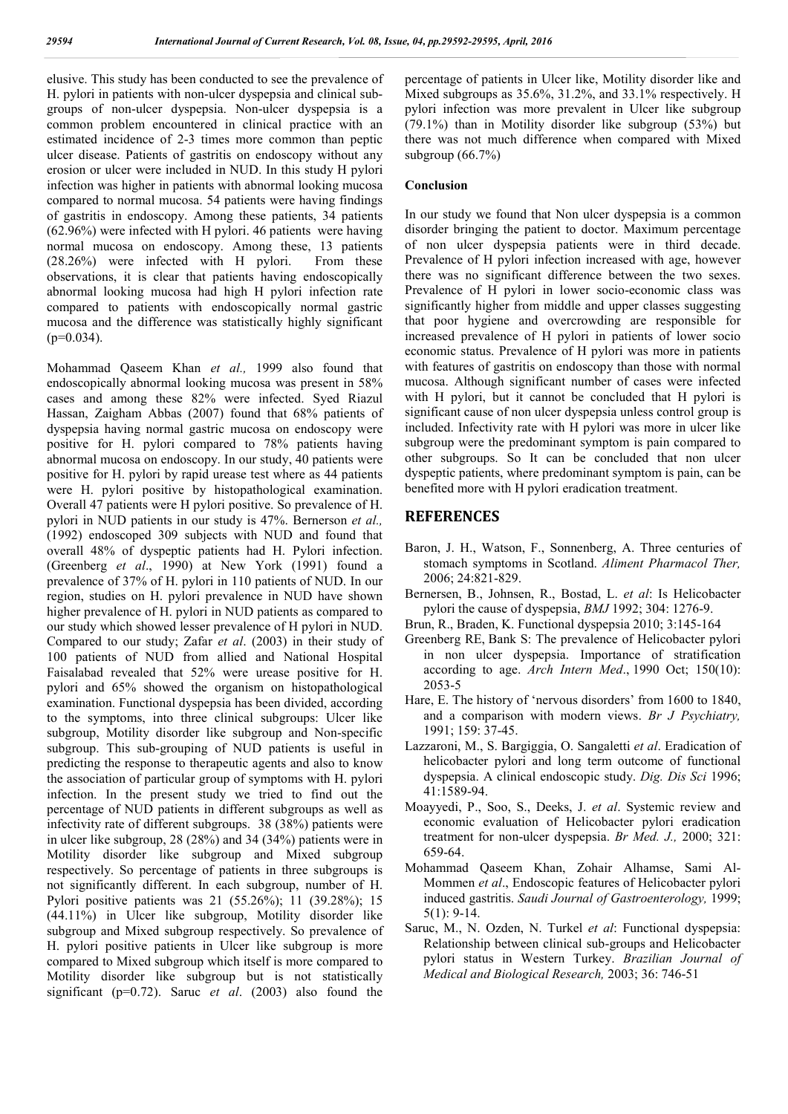elusive. This study has been conducted to see the prevalence of H. pylori in patients with non-ulcer dyspepsia and clinical subgroups of non-ulcer dyspepsia. Non-ulcer dyspepsia is a common problem encountered in clinical practice with an estimated incidence of 2-3 times more common than peptic ulcer disease. Patients of gastritis on endoscopy without any erosion or ulcer were included in NUD. In this study H pylori infection was higher in patients with abnormal looking mucosa compared to normal mucosa. 54 patients were having findings of gastritis in endoscopy. Among these patients, 34 patients (62.96%) were infected with H pylori. 46 patients were having normal mucosa on endoscopy. Among these, 13 patients (28.26%) were infected with H pylori. From these observations, it is clear that patients having endoscopically abnormal looking mucosa had high H pylori infection rate compared to patients with endoscopically normal gastric mucosa and the difference was statistically highly significant  $(p=0.034)$ .

Mohammad Qaseem Khan *et al.,* 1999 also found that endoscopically abnormal looking mucosa was present in 58% cases and among these 82% were infected. Syed Riazul Hassan, Zaigham Abbas (2007) found that 68% patients of dyspepsia having normal gastric mucosa on endoscopy were positive for H. pylori compared to 78% patients having abnormal mucosa on endoscopy. In our study, 40 patients were positive for H. pylori by rapid urease test where as 44 patients were H. pylori positive by histopathological examination. Overall 47 patients were H pylori positive. So prevalence of H. pylori in NUD patients in our study is 47%. Bernerson *et al.,* (1992) endoscoped 309 subjects with NUD and found that overall 48% of dyspeptic patients had H. Pylori infection. (Greenberg *et al*., 1990) at New York (1991) found a prevalence of 37% of H. pylori in 110 patients of NUD. In our region, studies on H. pylori prevalence in NUD have shown higher prevalence of H. pylori in NUD patients as compared to our study which showed lesser prevalence of H pylori in NUD. Compared to our study; Zafar *et al*. (2003) in their study of 100 patients of NUD from allied and National Hospital Faisalabad revealed that 52% were urease positive for H. pylori and 65% showed the organism on histopathological examination. Functional dyspepsia has been divided, according to the symptoms, into three clinical subgroups: Ulcer like subgroup, Motility disorder like subgroup and Non-specific subgroup. This sub-grouping of NUD patients is useful in predicting the response to therapeutic agents and also to know the association of particular group of symptoms with H. pylori infection. In the present study we tried to find out the percentage of NUD patients in different subgroups as well as infectivity rate of different subgroups. 38 (38%) patients were in ulcer like subgroup, 28 (28%) and 34 (34%) patients were in Motility disorder like subgroup and Mixed subgroup respectively. So percentage of patients in three subgroups is not significantly different. In each subgroup, number of H. Pylori positive patients was 21 (55.26%); 11 (39.28%); 15 (44.11%) in Ulcer like subgroup, Motility disorder like subgroup and Mixed subgroup respectively. So prevalence of H. pylori positive patients in Ulcer like subgroup is more compared to Mixed subgroup which itself is more compared to Motility disorder like subgroup but is not statistically significant (p=0.72). Saruc *et al*. (2003) also found the percentage of patients in Ulcer like, Motility disorder like and Mixed subgroups as 35.6%, 31.2%, and 33.1% respectively. H pylori infection was more prevalent in Ulcer like subgroup (79.1%) than in Motility disorder like subgroup (53%) but there was not much difference when compared with Mixed subgroup  $(66.7\%)$ 

#### **Conclusion**

In our study we found that Non ulcer dyspepsia is a common disorder bringing the patient to doctor. Maximum percentage of non ulcer dyspepsia patients were in third decade. Prevalence of H pylori infection increased with age, however there was no significant difference between the two sexes. Prevalence of H pylori in lower socio-economic class was significantly higher from middle and upper classes suggesting that poor hygiene and overcrowding are responsible for increased prevalence of H pylori in patients of lower socio economic status. Prevalence of H pylori was more in patients with features of gastritis on endoscopy than those with normal mucosa. Although significant number of cases were infected with H pylori, but it cannot be concluded that H pylori is significant cause of non ulcer dyspepsia unless control group is included. Infectivity rate with H pylori was more in ulcer like subgroup were the predominant symptom is pain compared to other subgroups. So It can be concluded that non ulcer dyspeptic patients, where predominant symptom is pain, can be benefited more with H pylori eradication treatment.

# **REFERENCES**

- Baron, J. H., Watson, F., Sonnenberg, A. Three centuries of stomach symptoms in Scotland. *Aliment Pharmacol Ther,* 2006; 24:821-829.
- Bernersen, B., Johnsen, R., Bostad, L. *et al*: Is Helicobacter pylori the cause of dyspepsia, *BMJ* 1992; 304: 1276-9.
- Brun, R., Braden, K. Functional dyspepsia 2010; 3:145-164
- Greenberg RE, Bank S: The prevalence of Helicobacter pylori in non ulcer dyspepsia. Importance of stratification according to age. *Arch Intern Med*., 1990 Oct; 150(10): 2053-5
- Hare, E. The history of 'nervous disorders' from 1600 to 1840, and a comparison with modern views. *Br J Psychiatry,*  1991; 159: 37-45.
- Lazzaroni, M., S. Bargiggia, O. Sangaletti *et al*. Eradication of helicobacter pylori and long term outcome of functional dyspepsia. A clinical endoscopic study. *Dig. Dis Sci* 1996; 41:1589-94.
- Moayyedi, P., Soo, S., Deeks, J. *et al*. Systemic review and economic evaluation of Helicobacter pylori eradication treatment for non-ulcer dyspepsia. *Br Med. J.,* 2000; 321: 659-64.
- Mohammad Qaseem Khan, Zohair Alhamse, Sami Al-Mommen *et al*., Endoscopic features of Helicobacter pylori induced gastritis. *Saudi Journal of Gastroenterology,* 1999; 5(1): 9-14.
- Saruc, M., N. Ozden, N. Turkel *et al*: Functional dyspepsia: Relationship between clinical sub-groups and Helicobacter pylori status in Western Turkey. *Brazilian Journal of Medical and Biological Research,* 2003; 36: 746-51